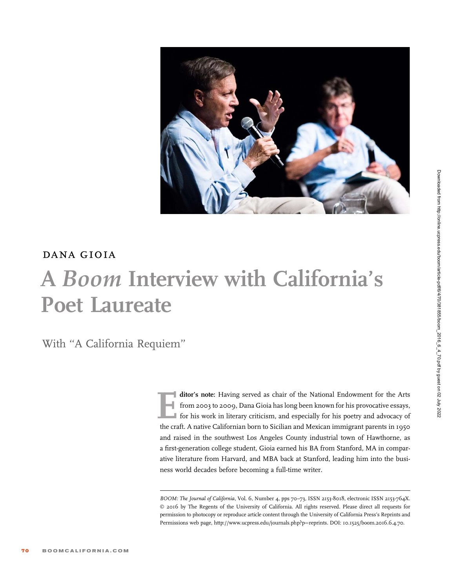

## dana gioia A Boom Interview with California's Poet Laureate

With ''A California Requiem''

ditor's note: Having served as chair of the National Endowment for the Arts<br>from 2003 to 2009, Dana Gioia has long been known for his provocative essays,<br>for his work in literary criticism, and especially for his poetry an from 2003 to 2009, Dana Gioia has long been known for his provocative essays, for his work in literary criticism, and especially for his poetry and advocacy of the craft. A native Californian born to Sicilian and Mexican immigrant parents in 1950 and raised in the southwest Los Angeles County industrial town of Hawthorne, as a first-generation college student, Gioia earned his BA from Stanford, MA in comparative literature from Harvard, and MBA back at Stanford, leading him into the business world decades before becoming a full-time writer.

BOOM: The Journal of California, Vol. 6, Number 4, pps 70-73, ISSN 2153-8018, electronic ISSN 2153-764X. © 2016 by The Regents of the University of California. All rights reserved. Please direct all requests for permission to photocopy or reproduce article content through the University of California Press's Reprints and Permissions web page, http://www.ucpress.edu/journals.php?p=reprints. DOI: 10.1525/boom.2016.6.4.70.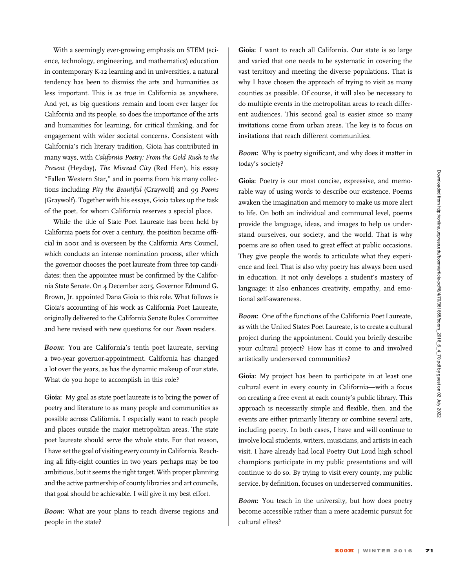With a seemingly ever-growing emphasis on STEM (science, technology, engineering, and mathematics) education in contemporary K-12 learning and in universities, a natural tendency has been to dismiss the arts and humanities as less important. This is as true in California as anywhere. And yet, as big questions remain and loom ever larger for California and its people, so does the importance of the arts and humanities for learning, for critical thinking, and for engagement with wider societal concerns. Consistent with California's rich literary tradition, Gioia has contributed in many ways, with California Poetry: From the Gold Rush to the Present (Heyday), The Misread City (Red Hen), his essay "Fallen Western Star," and in poems from his many collections including Pity the Beautiful (Graywolf) and 99 Poems (Graywolf). Together with his essays, Gioia takes up the task of the poet, for whom California reserves a special place.

While the title of State Poet Laureate has been held by California poets for over a century, the position became official in 2001 and is overseen by the California Arts Council, which conducts an intense nomination process, after which the governor chooses the poet laureate from three top candidates; then the appointee must be confirmed by the California State Senate. On 4 December 2015, Governor Edmund G. Brown, Jr. appointed Dana Gioia to this role. What follows is Gioia's accounting of his work as California Poet Laureate, originally delivered to the California Senate Rules Committee and here revised with new questions for our Boom readers.

Boom: You are California's tenth poet laureate, serving a two-year governor-appointment. California has changed a lot over the years, as has the dynamic makeup of our state. What do you hope to accomplish in this role?

Gioia: My goal as state poet laureate is to bring the power of poetry and literature to as many people and communities as possible across California. I especially want to reach people and places outside the major metropolitan areas. The state poet laureate should serve the whole state. For that reason, I have set the goal of visiting every county in California. Reaching all fifty-eight counties in two years perhaps may be too ambitious, but it seems the right target. With proper planning and the active partnership of county libraries and art councils, that goal should be achievable. I will give it my best effort.

Boom: What are your plans to reach diverse regions and people in the state?

Gioia: I want to reach all California. Our state is so large and varied that one needs to be systematic in covering the vast territory and meeting the diverse populations. That is why I have chosen the approach of trying to visit as many counties as possible. Of course, it will also be necessary to do multiple events in the metropolitan areas to reach different audiences. This second goal is easier since so many invitations come from urban areas. The key is to focus on invitations that reach different communities.

Boom: Why is poetry significant, and why does it matter in today's society?

Gioia: Poetry is our most concise, expressive, and memorable way of using words to describe our existence. Poems awaken the imagination and memory to make us more alert to life. On both an individual and communal level, poems provide the language, ideas, and images to help us understand ourselves, our society, and the world. That is why poems are so often used to great effect at public occasions. They give people the words to articulate what they experience and feel. That is also why poetry has always been used in education. It not only develops a student's mastery of language; it also enhances creativity, empathy, and emotional self-awareness.

Boom: One of the functions of the California Poet Laureate, as with the United States Poet Laureate, is to create a cultural project during the appointment. Could you briefly describe your cultural project? How has it come to and involved artistically underserved communities?

Gioia: My project has been to participate in at least one cultural event in every county in California—with a focus on creating a free event at each county's public library. This approach is necessarily simple and flexible, then, and the events are either primarily literary or combine several arts, including poetry. In both cases, I have and will continue to involve local students, writers, musicians, and artists in each visit. I have already had local Poetry Out Loud high school champions participate in my public presentations and will continue to do so. By trying to visit every county, my public service, by definition, focuses on underserved communities.

Boom: You teach in the university, but how does poetry become accessible rather than a mere academic pursuit for cultural elites?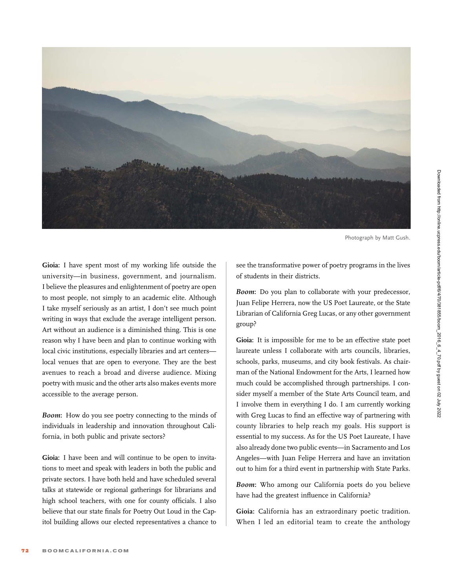

Photograph by Matt Gush.

Gioia: I have spent most of my working life outside the university—in business, government, and journalism. I believe the pleasures and enlightenment of poetry are open to most people, not simply to an academic elite. Although I take myself seriously as an artist, I don't see much point writing in ways that exclude the average intelligent person. Art without an audience is a diminished thing. This is one reason why I have been and plan to continue working with local civic institutions, especially libraries and art centers local venues that are open to everyone. They are the best avenues to reach a broad and diverse audience. Mixing poetry with music and the other arts also makes events more accessible to the average person.

Boom: How do you see poetry connecting to the minds of individuals in leadership and innovation throughout California, in both public and private sectors?

Gioia: I have been and will continue to be open to invitations to meet and speak with leaders in both the public and private sectors. I have both held and have scheduled several talks at statewide or regional gatherings for librarians and high school teachers, with one for county officials. I also believe that our state finals for Poetry Out Loud in the Capitol building allows our elected representatives a chance to

see the transformative power of poetry programs in the lives of students in their districts.

Boom: Do you plan to collaborate with your predecessor, Juan Felipe Herrera, now the US Poet Laureate, or the State Librarian of California Greg Lucas, or any other government group?

Gioia: It is impossible for me to be an effective state poet laureate unless I collaborate with arts councils, libraries, schools, parks, museums, and city book festivals. As chairman of the National Endowment for the Arts, I learned how much could be accomplished through partnerships. I consider myself a member of the State Arts Council team, and I involve them in everything I do. I am currently working with Greg Lucas to find an effective way of partnering with county libraries to help reach my goals. His support is essential to my success. As for the US Poet Laureate, I have also already done two public events—in Sacramento and Los Angeles—with Juan Felipe Herrera and have an invitation out to him for a third event in partnership with State Parks.

Boom: Who among our California poets do you believe have had the greatest influence in California?

Gioia: California has an extraordinary poetic tradition. When I led an editorial team to create the anthology